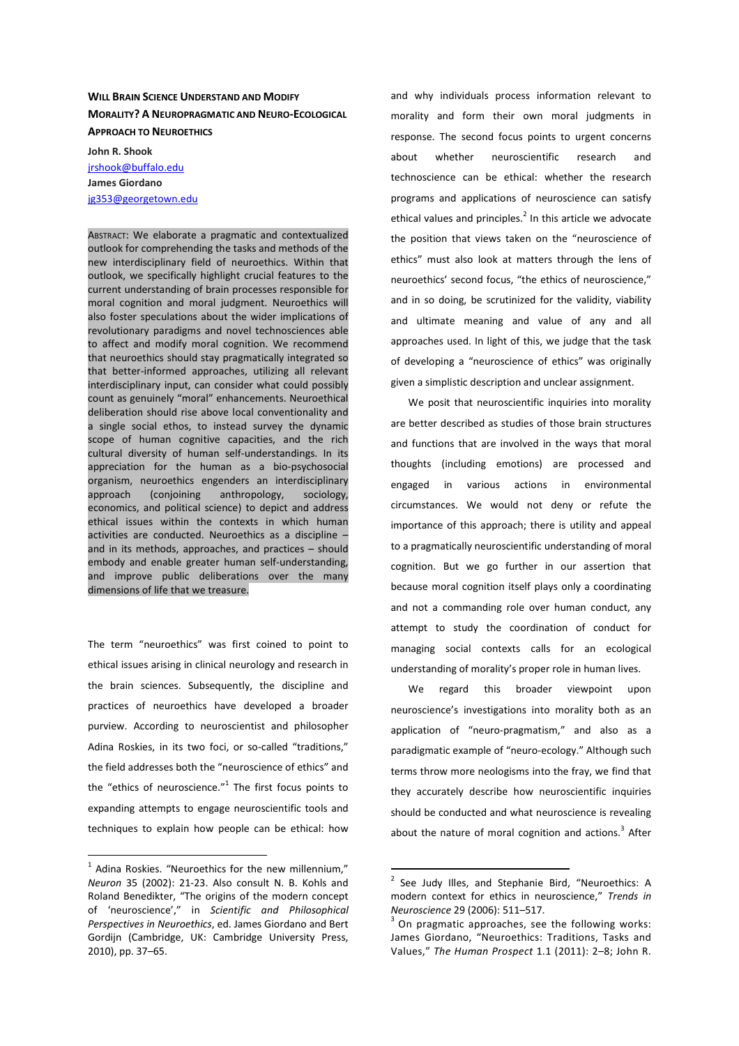# **WILL BRAIN SCIENCE UNDERSTAND AND MODIFY MORALITY? A NEUROPRAGMATIC AND NEURO-ECOLOGICAL APPROACH TO NEUROETHICS**

**John R. Shook**  jrshook@buffalo.edu **James Giordano** jg353@georgetown.edu

ABSTRACT: We elaborate a pragmatic and contextualized outlook for comprehending the tasks and methods of the new interdisciplinary field of neuroethics. Within that outlook, we specifically highlight crucial features to the current understanding of brain processes responsible for moral cognition and moral judgment. Neuroethics will also foster speculations about the wider implications of revolutionary paradigms and novel technosciences able to affect and modify moral cognition. We recommend that neuroethics should stay pragmatically integrated so that better-informed approaches, utilizing all relevant interdisciplinary input, can consider what could possibly count as genuinely "moral" enhancements. Neuroethical deliberation should rise above local conventionality and a single social ethos, to instead survey the dynamic scope of human cognitive capacities, and the rich cultural diversity of human self-understandings. In its appreciation for the human as a bio-psychosocial organism, neuroethics engenders an interdisciplinary approach (conjoining anthropology, sociology, economics, and political science) to depict and address ethical issues within the contexts in which human activities are conducted. Neuroethics as a discipline – and in its methods, approaches, and practices – should embody and enable greater human self-understanding, and improve public deliberations over the many dimensions of life that we treasure.

The term "neuroethics" was first coined to point to ethical issues arising in clinical neurology and research in the brain sciences. Subsequently, the discipline and practices of neuroethics have developed a broader purview. According to neuroscientist and philosopher Adina Roskies, in its two foci, or so-called "traditions," the field addresses both the "neuroscience of ethics" and the "ethics of neuroscience." $1$  The first focus points to expanding attempts to engage neuroscientific tools and techniques to explain how people can be ethical: how

 $\overline{a}$ 

and why individuals process information relevant to morality and form their own moral judgments in response. The second focus points to urgent concerns about whether neuroscientific research and technoscience can be ethical: whether the research programs and applications of neuroscience can satisfy ethical values and principles. $^2$  In this article we advocate the position that views taken on the "neuroscience of ethics" must also look at matters through the lens of neuroethics' second focus, "the ethics of neuroscience," and in so doing, be scrutinized for the validity, viability and ultimate meaning and value of any and all approaches used. In light of this, we judge that the task of developing a "neuroscience of ethics" was originally given a simplistic description and unclear assignment.

We posit that neuroscientific inquiries into morality are better described as studies of those brain structures and functions that are involved in the ways that moral thoughts (including emotions) are processed and engaged in various actions in environmental circumstances. We would not deny or refute the importance of this approach; there is utility and appeal to a pragmatically neuroscientific understanding of moral cognition. But we go further in our assertion that because moral cognition itself plays only a coordinating and not a commanding role over human conduct, any attempt to study the coordination of conduct for managing social contexts calls for an ecological understanding of morality's proper role in human lives.

We regard this broader viewpoint upon neuroscience's investigations into morality both as an application of "neuro-pragmatism," and also as a paradigmatic example of "neuro-ecology." Although such terms throw more neologisms into the fray, we find that they accurately describe how neuroscientific inquiries should be conducted and what neuroscience is revealing about the nature of moral cognition and actions.<sup>3</sup> After

 $1$  Adina Roskies. "Neuroethics for the new millennium," *Neuron* 35 (2002): 21-23. Also consult N. B. Kohls and Roland Benedikter, "The origins of the modern concept of 'neuroscience'," in *Scientific and Philosophical Perspectives in Neuroethics*, ed. James Giordano and Bert Gordijn (Cambridge, UK: Cambridge University Press, 2010), pp. 37–65.

<sup>&</sup>lt;sup>2</sup> See Judy Illes, and Stephanie Bird, "Neuroethics: A modern context for ethics in neuroscience," *Trends in Neuroscience* 29 (2006): 511–517.

 $3$  On pragmatic approaches, see the following works: James Giordano, "Neuroethics: Traditions, Tasks and Values," *The Human Prospect* 1.1 (2011): 2–8; John R.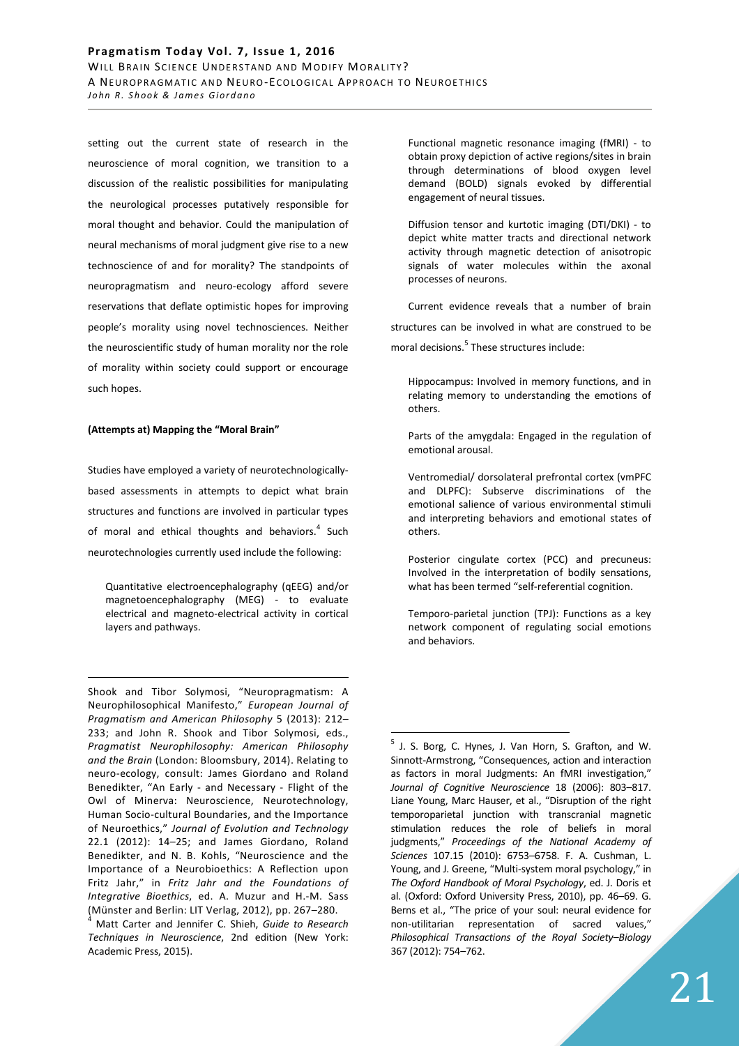setting out the current state of research in the neuroscience of moral cognition, we transition to a discussion of the realistic possibilities for manipulating the neurological processes putatively responsible for moral thought and behavior. Could the manipulation of neural mechanisms of moral judgment give rise to a new technoscience of and for morality? The standpoints of neuropragmatism and neuro-ecology afford severe reservations that deflate optimistic hopes for improving people's morality using novel technosciences. Neither the neuroscientific study of human morality nor the role of morality within society could support or encourage such hopes.

### **(Attempts at) Mapping the "Moral Brain"**

<u>.</u>

Studies have employed a variety of neurotechnologicallybased assessments in attempts to depict what brain structures and functions are involved in particular types of moral and ethical thoughts and behaviors.<sup>4</sup> Such neurotechnologies currently used include the following:

Quantitative electroencephalography (qEEG) and/or magnetoencephalography (MEG) - to evaluate electrical and magneto-electrical activity in cortical layers and pathways.

Shook and Tibor Solymosi, "Neuropragmatism: A Neurophilosophical Manifesto," *European Journal of Pragmatism and American Philosophy* 5 (2013): 212– 233; and John R. Shook and Tibor Solymosi, eds., *Pragmatist Neurophilosophy: American Philosophy and the Brain* (London: Bloomsbury, 2014). Relating to neuro-ecology, consult: James Giordano and Roland Benedikter, "An Early - and Necessary - Flight of the Owl of Minerva: Neuroscience, Neurotechnology, Human Socio-cultural Boundaries, and the Importance of Neuroethics," *Journal of Evolution and Technology* 22.1 (2012): 14–25; and James Giordano, Roland Benedikter, and N. B. Kohls, "Neuroscience and the Importance of a Neurobioethics: A Reflection upon Fritz Jahr," in *Fritz Jahr and the Foundations of Integrative Bioethics*, ed. A. Muzur and H.-M. Sass (Münster and Berlin: LIT Verlag, 2012), pp. 267–280.

4 Matt Carter and Jennifer C. Shieh, *Guide to Research Techniques in Neuroscience*, 2nd edition (New York: Academic Press, 2015).

Functional magnetic resonance imaging (fMRI) - to obtain proxy depiction of active regions/sites in brain through determinations of blood oxygen level demand (BOLD) signals evoked by differential engagement of neural tissues.

Diffusion tensor and kurtotic imaging (DTI/DKI) - to depict white matter tracts and directional network activity through magnetic detection of anisotropic signals of water molecules within the axonal processes of neurons.

Current evidence reveals that a number of brain structures can be involved in what are construed to be moral decisions.<sup>5</sup> These structures include:

Hippocampus: Involved in memory functions, and in relating memory to understanding the emotions of others.

Parts of the amygdala: Engaged in the regulation of emotional arousal.

Ventromedial/ dorsolateral prefrontal cortex (vmPFC and DLPFC): Subserve discriminations of the emotional salience of various environmental stimuli and interpreting behaviors and emotional states of others.

Posterior cingulate cortex (PCC) and precuneus: Involved in the interpretation of bodily sensations, what has been termed "self-referential cognition.

Temporo-parietal junction (TPJ): Functions as a key network component of regulating social emotions and behaviors.

 $\overline{a}$ <sup>5</sup> J. S. Borg, C. Hynes, J. Van Horn, S. Grafton, and W. Sinnott-Armstrong, "Consequences, action and interaction as factors in moral Judgments: An fMRI investigation," *Journal of Cognitive Neuroscience* 18 (2006): 803–817. Liane Young, Marc Hauser, et al., "Disruption of the right temporoparietal junction with transcranial magnetic stimulation reduces the role of beliefs in moral judgments," *Proceedings of the National Academy of Sciences* 107.15 (2010): 6753–6758. F. A. Cushman, L. Young, and J. Greene, "Multi-system moral psychology," in *The Oxford Handbook of Moral Psychology*, ed. J. Doris et al. (Oxford: Oxford University Press, 2010), pp. 46–69. G. Berns et al., "The price of your soul: neural evidence for non-utilitarian representation of sacred values," *Philosophical Transactions of the Royal Society–Biology* 367 (2012): 754–762.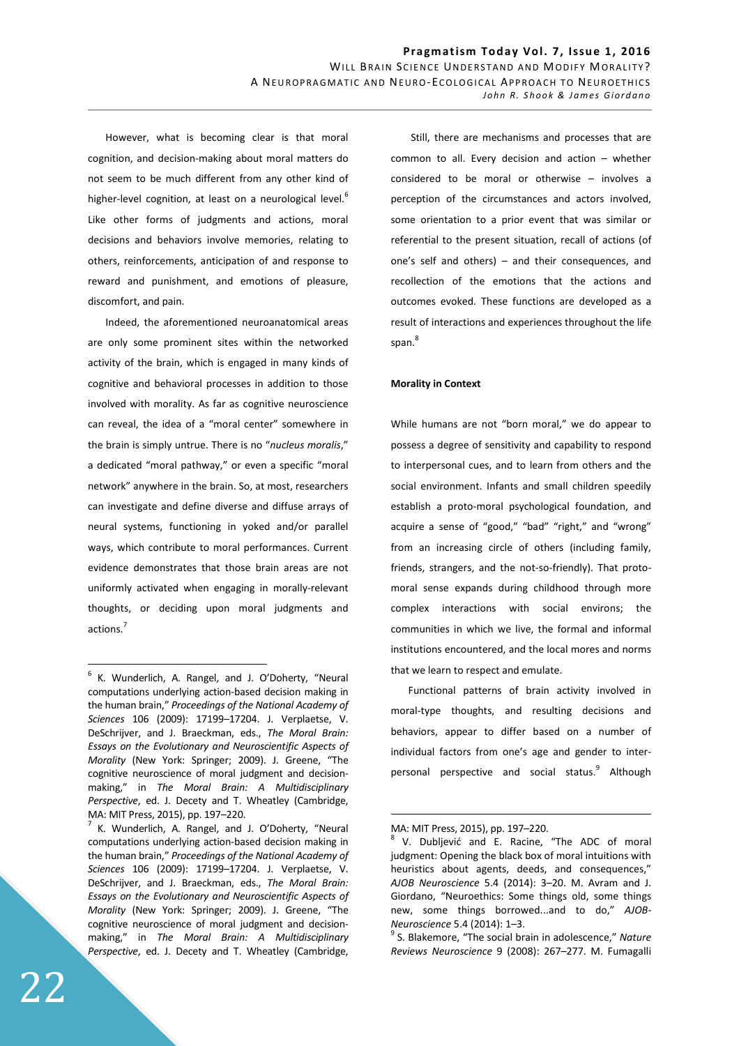However, what is becoming clear is that moral cognition, and decision-making about moral matters do not seem to be much different from any other kind of higher-level cognition, at least on a neurological level.<sup>6</sup> Like other forms of judgments and actions, moral decisions and behaviors involve memories, relating to others, reinforcements, anticipation of and response to reward and punishment, and emotions of pleasure, discomfort, and pain.

Indeed, the aforementioned neuroanatomical areas are only some prominent sites within the networked activity of the brain, which is engaged in many kinds of cognitive and behavioral processes in addition to those involved with morality. As far as cognitive neuroscience can reveal, the idea of a "moral center" somewhere in the brain is simply untrue. There is no "*nucleus moralis*," a dedicated "moral pathway," or even a specific "moral network" anywhere in the brain. So, at most, researchers can investigate and define diverse and diffuse arrays of neural systems, functioning in yoked and/or parallel ways, which contribute to moral performances. Current evidence demonstrates that those brain areas are not uniformly activated when engaging in morally-relevant thoughts, or deciding upon moral judgments and actions.<sup>7</sup>

 Still, there are mechanisms and processes that are common to all. Every decision and action – whether considered to be moral or otherwise – involves a perception of the circumstances and actors involved, some orientation to a prior event that was similar or referential to the present situation, recall of actions (of one's self and others) – and their consequences, and recollection of the emotions that the actions and outcomes evoked. These functions are developed as a result of interactions and experiences throughout the life span. 8

### **Morality in Context**

While humans are not "born moral," we do appear to possess a degree of sensitivity and capability to respond to interpersonal cues, and to learn from others and the social environment. Infants and small children speedily establish a proto-moral psychological foundation, and acquire a sense of "good," "bad" "right," and "wrong" from an increasing circle of others (including family, friends, strangers, and the not-so-friendly). That protomoral sense expands during childhood through more complex interactions with social environs; the communities in which we live, the formal and informal institutions encountered, and the local mores and norms that we learn to respect and emulate.

Functional patterns of brain activity involved in moral-type thoughts, and resulting decisions and behaviors, appear to differ based on a number of individual factors from one's age and gender to interpersonal perspective and social status.<sup>9</sup> Although

 $\overline{a}$ 

<sup>&</sup>lt;sup>6</sup> K. Wunderlich, A. Rangel, and J. O'Doherty, "Neural computations underlying action-based decision making in the human brain," *Proceedings of the National Academy of Sciences* 106 (2009): 17199–17204. J. Verplaetse, V. DeSchrijver, and J. Braeckman, eds., *The Moral Brain: Essays on the Evolutionary and Neuroscientific Aspects of Morality* (New York: Springer; 2009). J. Greene, "The cognitive neuroscience of moral judgment and decisionmaking," in *The Moral Brain: A Multidisciplinary Perspective*, ed. J. Decety and T. Wheatley (Cambridge, MA: MIT Press, 2015), pp. 197–220.

<sup>7</sup> K. Wunderlich, A. Rangel, and J. O'Doherty, "Neural computations underlying action-based decision making in the human brain," *Proceedings of the National Academy of Sciences* 106 (2009): 17199–17204. J. Verplaetse, V. DeSchrijver, and J. Braeckman, eds., *The Moral Brain: Essays on the Evolutionary and Neuroscientific Aspects of Morality* (New York: Springer; 2009). J. Greene, "The cognitive neuroscience of moral judgment and decisionmaking," in *The Moral Brain: A Multidisciplinary Perspective*, ed. J. Decety and T. Wheatley (Cambridge,

MA: MIT Press, 2015), pp. 197–220.

<sup>&</sup>lt;sup>8</sup> V. Dubljević and E. Racine, "The ADC of moral judgment: Opening the black box of moral intuitions with heuristics about agents, deeds, and consequences," *AJOB Neuroscience* 5.4 (2014): 3–20. M. Avram and J. Giordano, "Neuroethics: Some things old, some things new, some things borrowed...and to do," *AJOB-Neuroscience* 5.4 (2014): 1–3.

<sup>9</sup> S. Blakemore, "The social brain in adolescence," *Nature Reviews Neuroscience* 9 (2008): 267–277. M. Fumagalli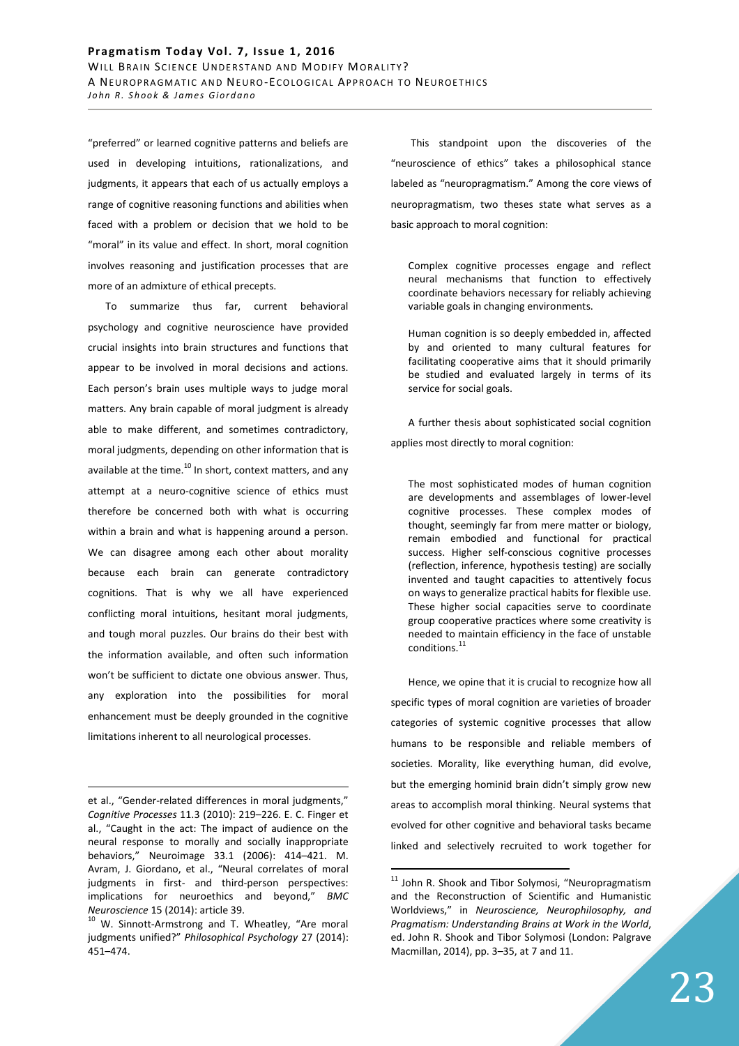"preferred" or learned cognitive patterns and beliefs are used in developing intuitions, rationalizations, and judgments, it appears that each of us actually employs a range of cognitive reasoning functions and abilities when faced with a problem or decision that we hold to be "moral" in its value and effect. In short, moral cognition involves reasoning and justification processes that are more of an admixture of ethical precepts.

To summarize thus far, current behavioral psychology and cognitive neuroscience have provided crucial insights into brain structures and functions that appear to be involved in moral decisions and actions. Each person's brain uses multiple ways to judge moral matters. Any brain capable of moral judgment is already able to make different, and sometimes contradictory, moral judgments, depending on other information that is available at the time. $^{10}$  In short, context matters, and any attempt at a neuro-cognitive science of ethics must therefore be concerned both with what is occurring within a brain and what is happening around a person. We can disagree among each other about morality because each brain can generate contradictory cognitions. That is why we all have experienced conflicting moral intuitions, hesitant moral judgments, and tough moral puzzles. Our brains do their best with the information available, and often such information won't be sufficient to dictate one obvious answer. Thus, any exploration into the possibilities for moral enhancement must be deeply grounded in the cognitive limitations inherent to all neurological processes.

<u>.</u>

 This standpoint upon the discoveries of the "neuroscience of ethics" takes a philosophical stance labeled as "neuropragmatism." Among the core views of neuropragmatism, two theses state what serves as a basic approach to moral cognition:

Complex cognitive processes engage and reflect neural mechanisms that function to effectively coordinate behaviors necessary for reliably achieving variable goals in changing environments.

Human cognition is so deeply embedded in, affected by and oriented to many cultural features for facilitating cooperative aims that it should primarily be studied and evaluated largely in terms of its service for social goals.

A further thesis about sophisticated social cognition applies most directly to moral cognition:

The most sophisticated modes of human cognition are developments and assemblages of lower-level cognitive processes. These complex modes of thought, seemingly far from mere matter or biology, remain embodied and functional for practical success. Higher self-conscious cognitive processes (reflection, inference, hypothesis testing) are socially invented and taught capacities to attentively focus on ways to generalize practical habits for flexible use. These higher social capacities serve to coordinate group cooperative practices where some creativity is needed to maintain efficiency in the face of unstable conditions. $^{11}$ 

Hence, we opine that it is crucial to recognize how all specific types of moral cognition are varieties of broader categories of systemic cognitive processes that allow humans to be responsible and reliable members of societies. Morality, like everything human, did evolve, but the emerging hominid brain didn't simply grow new areas to accomplish moral thinking. Neural systems that evolved for other cognitive and behavioral tasks became linked and selectively recruited to work together for

et al., "Gender-related differences in moral judgments," *Cognitive Processes* 11.3 (2010): 219–226. E. C. Finger et al., "Caught in the act: The impact of audience on the neural response to morally and socially inappropriate behaviors," Neuroimage 33.1 (2006): 414–421. M. Avram, J. Giordano, et al., "Neural correlates of moral judgments in first- and third-person perspectives: implications for neuroethics and beyond," *BMC Neuroscience* 15 (2014): article 39.

<sup>10</sup> W. Sinnott-Armstrong and T. Wheatley, "Are moral judgments unified?" *Philosophical Psychology* 27 (2014): 451–474.

<sup>&</sup>lt;sup>11</sup> John R. Shook and Tibor Solymosi, "Neuropragmatism and the Reconstruction of Scientific and Humanistic Worldviews," in *Neuroscience, Neurophilosophy, and Pragmatism: Understanding Brains at Work in the World*, ed. John R. Shook and Tibor Solymosi (London: Palgrave Macmillan, 2014), pp. 3–35, at 7 and 11.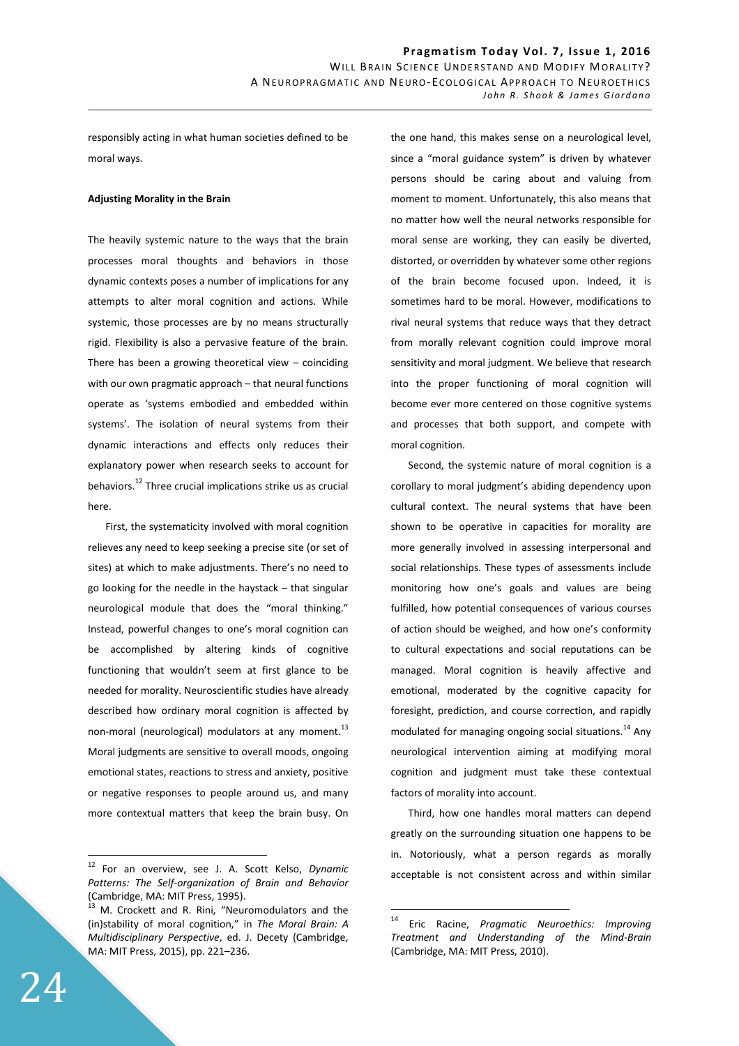responsibly acting in what human societies defined to be moral ways.

### **Adjusting Morality in the Brain**

The heavily systemic nature to the ways that the brain processes moral thoughts and behaviors in those dynamic contexts poses a number of implications for any attempts to alter moral cognition and actions. While systemic, those processes are by no means structurally rigid. Flexibility is also a pervasive feature of the brain. There has been a growing theoretical view – coinciding with our own pragmatic approach – that neural functions operate as 'systems embodied and embedded within systems'. The isolation of neural systems from their dynamic interactions and effects only reduces their explanatory power when research seeks to account for behaviors.<sup>12</sup> Three crucial implications strike us as crucial here.

First, the systematicity involved with moral cognition relieves any need to keep seeking a precise site (or set of sites) at which to make adjustments. There's no need to go looking for the needle in the haystack – that singular neurological module that does the "moral thinking." Instead, powerful changes to one's moral cognition can be accomplished by altering kinds of cognitive functioning that wouldn't seem at first glance to be needed for morality. Neuroscientific studies have already described how ordinary moral cognition is affected by non-moral (neurological) modulators at any moment.<sup>13</sup> Moral judgments are sensitive to overall moods, ongoing emotional states, reactions to stress and anxiety, positive or negative responses to people around us, and many more contextual matters that keep the brain busy. On the one hand, this makes sense on a neurological level, since a "moral guidance system" is driven by whatever persons should be caring about and valuing from moment to moment. Unfortunately, this also means that no matter how well the neural networks responsible for moral sense are working, they can easily be diverted, distorted, or overridden by whatever some other regions of the brain become focused upon. Indeed, it is sometimes hard to be moral. However, modifications to rival neural systems that reduce ways that they detract from morally relevant cognition could improve moral sensitivity and moral judgment. We believe that research into the proper functioning of moral cognition will become ever more centered on those cognitive systems and processes that both support, and compete with moral cognition.

Second, the systemic nature of moral cognition is a corollary to moral judgment's abiding dependency upon cultural context. The neural systems that have been shown to be operative in capacities for morality are more generally involved in assessing interpersonal and social relationships. These types of assessments include monitoring how one's goals and values are being fulfilled, how potential consequences of various courses of action should be weighed, and how one's conformity to cultural expectations and social reputations can be managed. Moral cognition is heavily affective and emotional, moderated by the cognitive capacity for foresight, prediction, and course correction, and rapidly modulated for managing ongoing social situations.<sup>14</sup> Any neurological intervention aiming at modifying moral cognition and judgment must take these contextual factors of morality into account.

Third, how one handles moral matters can depend greatly on the surrounding situation one happens to be in. Notoriously, what a person regards as morally acceptable is not consistent across and within similar

 $\overline{a}$ 

<sup>12</sup> For an overview, see J. A. Scott Kelso, *Dynamic Patterns: The Self-organization of Brain and Behavior* (Cambridge, MA: MIT Press, 1995).

<sup>13</sup> M. Crockett and R. Rini, "Neuromodulators and the (in)stability of moral cognition," in *The Moral Brain: A Multidisciplinary Perspective*, ed. J. Decety (Cambridge, MA: MIT Press, 2015), pp. 221–236.

<sup>14</sup> Eric Racine, *Pragmatic Neuroethics: Improving Treatment and Understanding of the Mind-Brain* (Cambridge, MA: MIT Press, 2010).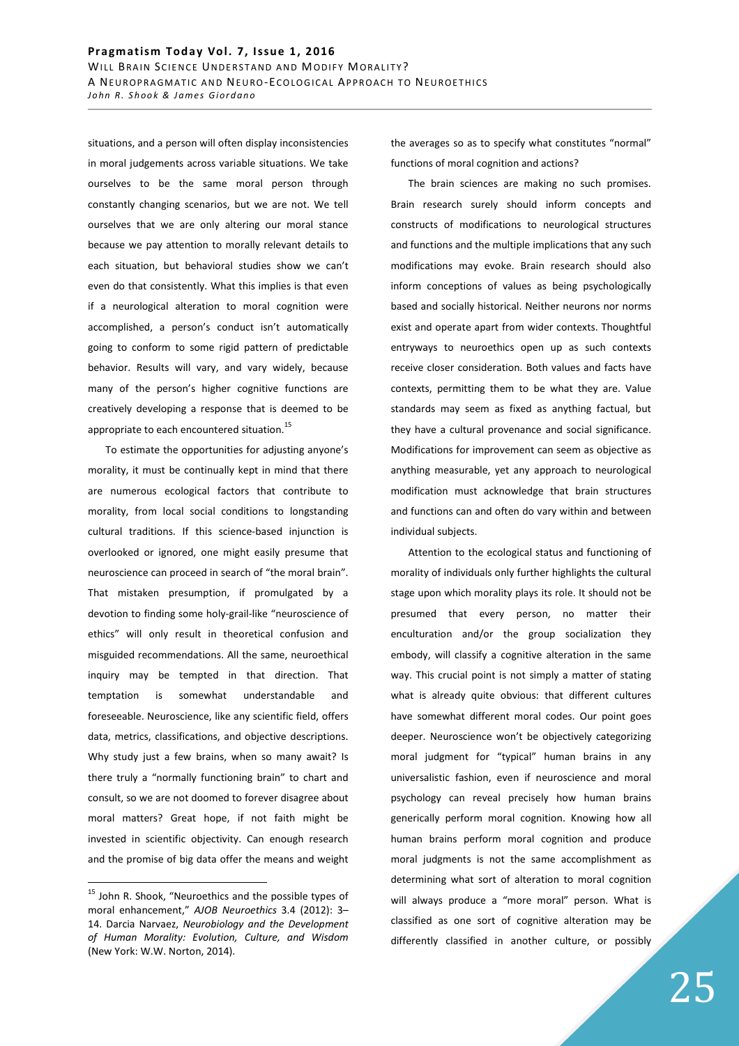situations, and a person will often display inconsistencies in moral judgements across variable situations. We take ourselves to be the same moral person through constantly changing scenarios, but we are not. We tell ourselves that we are only altering our moral stance because we pay attention to morally relevant details to each situation, but behavioral studies show we can't even do that consistently. What this implies is that even if a neurological alteration to moral cognition were accomplished, a person's conduct isn't automatically going to conform to some rigid pattern of predictable behavior. Results will vary, and vary widely, because many of the person's higher cognitive functions are creatively developing a response that is deemed to be appropriate to each encountered situation.<sup>15</sup>

To estimate the opportunities for adjusting anyone's morality, it must be continually kept in mind that there are numerous ecological factors that contribute to morality, from local social conditions to longstanding cultural traditions. If this science-based injunction is overlooked or ignored, one might easily presume that neuroscience can proceed in search of "the moral brain". That mistaken presumption, if promulgated by a devotion to finding some holy-grail-like "neuroscience of ethics" will only result in theoretical confusion and misguided recommendations. All the same, neuroethical inquiry may be tempted in that direction. That temptation is somewhat understandable and foreseeable. Neuroscience, like any scientific field, offers data, metrics, classifications, and objective descriptions. Why study just a few brains, when so many await? Is there truly a "normally functioning brain" to chart and consult, so we are not doomed to forever disagree about moral matters? Great hope, if not faith might be invested in scientific objectivity. Can enough research and the promise of big data offer the means and weight

 $\overline{a}$ 

the averages so as to specify what constitutes "normal" functions of moral cognition and actions?

The brain sciences are making no such promises. Brain research surely should inform concepts and constructs of modifications to neurological structures and functions and the multiple implications that any such modifications may evoke. Brain research should also inform conceptions of values as being psychologically based and socially historical. Neither neurons nor norms exist and operate apart from wider contexts. Thoughtful entryways to neuroethics open up as such contexts receive closer consideration. Both values and facts have contexts, permitting them to be what they are. Value standards may seem as fixed as anything factual, but they have a cultural provenance and social significance. Modifications for improvement can seem as objective as anything measurable, yet any approach to neurological modification must acknowledge that brain structures and functions can and often do vary within and between individual subjects.

Attention to the ecological status and functioning of morality of individuals only further highlights the cultural stage upon which morality plays its role. It should not be presumed that every person, no matter their enculturation and/or the group socialization they embody, will classify a cognitive alteration in the same way. This crucial point is not simply a matter of stating what is already quite obvious: that different cultures have somewhat different moral codes. Our point goes deeper. Neuroscience won't be objectively categorizing moral judgment for "typical" human brains in any universalistic fashion, even if neuroscience and moral psychology can reveal precisely how human brains generically perform moral cognition. Knowing how all human brains perform moral cognition and produce moral judgments is not the same accomplishment as determining what sort of alteration to moral cognition will always produce a "more moral" person. What is classified as one sort of cognitive alteration may be differently classified in another culture, or possibly

<sup>&</sup>lt;sup>15</sup> John R. Shook, "Neuroethics and the possible types of moral enhancement," *AJOB Neuroethics* 3.4 (2012): 3– 14. Darcia Narvaez, *Neurobiology and the Development of Human Morality: Evolution, Culture, and Wisdom* (New York: W.W. Norton, 2014).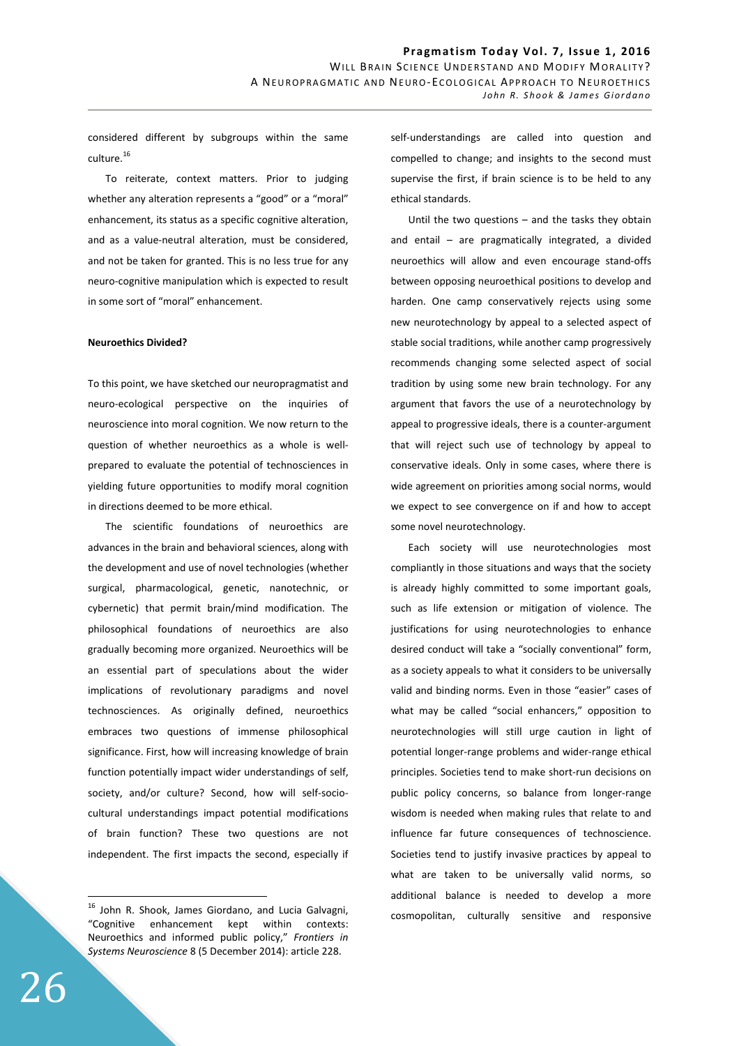considered different by subgroups within the same culture.<sup>16</sup>

To reiterate, context matters. Prior to judging whether any alteration represents a "good" or a "moral" enhancement, its status as a specific cognitive alteration, and as a value-neutral alteration, must be considered, and not be taken for granted. This is no less true for any neuro-cognitive manipulation which is expected to result in some sort of "moral" enhancement.

### **Neuroethics Divided?**

To this point, we have sketched our neuropragmatist and neuro-ecological perspective on the inquiries of neuroscience into moral cognition. We now return to the question of whether neuroethics as a whole is wellprepared to evaluate the potential of technosciences in yielding future opportunities to modify moral cognition in directions deemed to be more ethical.

The scientific foundations of neuroethics are advances in the brain and behavioral sciences, along with the development and use of novel technologies (whether surgical, pharmacological, genetic, nanotechnic, or cybernetic) that permit brain/mind modification. The philosophical foundations of neuroethics are also gradually becoming more organized. Neuroethics will be an essential part of speculations about the wider implications of revolutionary paradigms and novel technosciences. As originally defined, neuroethics embraces two questions of immense philosophical significance. First, how will increasing knowledge of brain function potentially impact wider understandings of self, society, and/or culture? Second, how will self-sociocultural understandings impact potential modifications of brain function? These two questions are not independent. The first impacts the second, especially if

self-understandings are called into question and compelled to change; and insights to the second must supervise the first, if brain science is to be held to any ethical standards.

Until the two questions – and the tasks they obtain and entail – are pragmatically integrated, a divided neuroethics will allow and even encourage stand-offs between opposing neuroethical positions to develop and harden. One camp conservatively rejects using some new neurotechnology by appeal to a selected aspect of stable social traditions, while another camp progressively recommends changing some selected aspect of social tradition by using some new brain technology. For any argument that favors the use of a neurotechnology by appeal to progressive ideals, there is a counter-argument that will reject such use of technology by appeal to conservative ideals. Only in some cases, where there is wide agreement on priorities among social norms, would we expect to see convergence on if and how to accept some novel neurotechnology.

Each society will use neurotechnologies most compliantly in those situations and ways that the society is already highly committed to some important goals, such as life extension or mitigation of violence. The justifications for using neurotechnologies to enhance desired conduct will take a "socially conventional" form, as a society appeals to what it considers to be universally valid and binding norms. Even in those "easier" cases of what may be called "social enhancers," opposition to neurotechnologies will still urge caution in light of potential longer-range problems and wider-range ethical principles. Societies tend to make short-run decisions on public policy concerns, so balance from longer-range wisdom is needed when making rules that relate to and influence far future consequences of technoscience. Societies tend to justify invasive practices by appeal to what are taken to be universally valid norms, so additional balance is needed to develop a more cosmopolitan, culturally sensitive and responsive

<sup>&</sup>lt;sup>16</sup> John R. Shook, James Giordano, and Lucia Galvagni, "Cognitive enhancement kept within contexts: Neuroethics and informed public policy," *Frontiers in Systems Neuroscience* 8 (5 December 2014): article 228.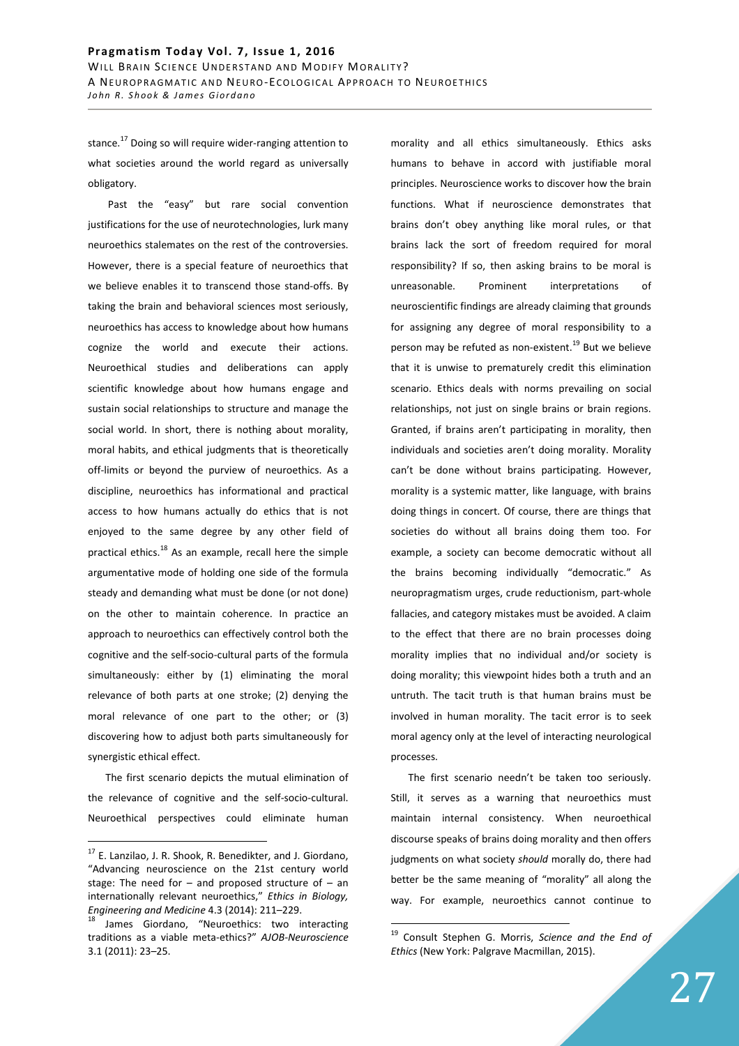stance.<sup>17</sup> Doing so will require wider-ranging attention to what societies around the world regard as universally obligatory.

 Past the "easy" but rare social convention justifications for the use of neurotechnologies, lurk many neuroethics stalemates on the rest of the controversies. However, there is a special feature of neuroethics that we believe enables it to transcend those stand-offs. By taking the brain and behavioral sciences most seriously, neuroethics has access to knowledge about how humans cognize the world and execute their actions. Neuroethical studies and deliberations can apply scientific knowledge about how humans engage and sustain social relationships to structure and manage the social world. In short, there is nothing about morality, moral habits, and ethical judgments that is theoretically off-limits or beyond the purview of neuroethics. As a discipline, neuroethics has informational and practical access to how humans actually do ethics that is not enjoyed to the same degree by any other field of practical ethics. $^{18}$  As an example, recall here the simple argumentative mode of holding one side of the formula steady and demanding what must be done (or not done) on the other to maintain coherence. In practice an approach to neuroethics can effectively control both the cognitive and the self-socio-cultural parts of the formula simultaneously: either by (1) eliminating the moral relevance of both parts at one stroke; (2) denying the moral relevance of one part to the other; or (3) discovering how to adjust both parts simultaneously for synergistic ethical effect.

The first scenario depicts the mutual elimination of the relevance of cognitive and the self-socio-cultural. Neuroethical perspectives could eliminate human

 $\overline{a}$ 

morality and all ethics simultaneously. Ethics asks humans to behave in accord with justifiable moral principles. Neuroscience works to discover how the brain functions. What if neuroscience demonstrates that brains don't obey anything like moral rules, or that brains lack the sort of freedom required for moral responsibility? If so, then asking brains to be moral is unreasonable. Prominent interpretations of neuroscientific findings are already claiming that grounds for assigning any degree of moral responsibility to a person may be refuted as non-existent.<sup>19</sup> But we believe that it is unwise to prematurely credit this elimination scenario. Ethics deals with norms prevailing on social relationships, not just on single brains or brain regions. Granted, if brains aren't participating in morality, then individuals and societies aren't doing morality. Morality can't be done without brains participating. However, morality is a systemic matter, like language, with brains doing things in concert. Of course, there are things that societies do without all brains doing them too. For example, a society can become democratic without all the brains becoming individually "democratic." As neuropragmatism urges, crude reductionism, part-whole fallacies, and category mistakes must be avoided. A claim to the effect that there are no brain processes doing morality implies that no individual and/or society is doing morality; this viewpoint hides both a truth and an untruth. The tacit truth is that human brains must be involved in human morality. The tacit error is to seek moral agency only at the level of interacting neurological processes.

The first scenario needn't be taken too seriously. Still, it serves as a warning that neuroethics must maintain internal consistency. When neuroethical discourse speaks of brains doing morality and then offers judgments on what society *should* morally do, there had better be the same meaning of "morality" all along the way. For example, neuroethics cannot continue to

 $17$  E. Lanzilao, J. R. Shook, R. Benedikter, and J. Giordano, "Advancing neuroscience on the 21st century world stage: The need for  $-$  and proposed structure of  $-$  an internationally relevant neuroethics," *Ethics in Biology, Engineering and Medicine* 4.3 (2014): 211–229.

<sup>&</sup>lt;sup>18</sup> James Giordano, "Neuroethics: two interacting traditions as a viable meta-ethics?" *AJOB-Neuroscience* 3.1 (2011): 23–25.

<sup>19</sup> Consult Stephen G. Morris, *Science and the End of Ethics* (New York: Palgrave Macmillan, 2015).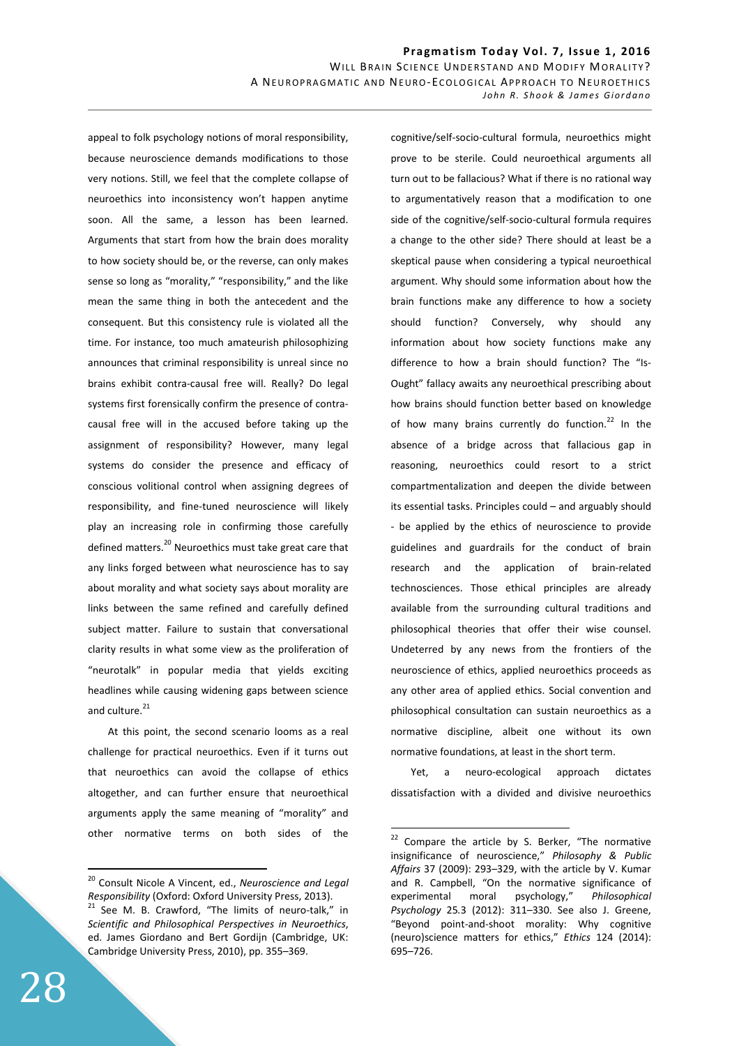appeal to folk psychology notions of moral responsibility, because neuroscience demands modifications to those very notions. Still, we feel that the complete collapse of neuroethics into inconsistency won't happen anytime soon. All the same, a lesson has been learned. Arguments that start from how the brain does morality to how society should be, or the reverse, can only makes sense so long as "morality," "responsibility," and the like mean the same thing in both the antecedent and the consequent. But this consistency rule is violated all the time. For instance, too much amateurish philosophizing announces that criminal responsibility is unreal since no brains exhibit contra-causal free will. Really? Do legal systems first forensically confirm the presence of contracausal free will in the accused before taking up the assignment of responsibility? However, many legal systems do consider the presence and efficacy of conscious volitional control when assigning degrees of responsibility, and fine-tuned neuroscience will likely play an increasing role in confirming those carefully defined matters.<sup>20</sup> Neuroethics must take great care that any links forged between what neuroscience has to say about morality and what society says about morality are links between the same refined and carefully defined subject matter. Failure to sustain that conversational clarity results in what some view as the proliferation of "neurotalk" in popular media that yields exciting headlines while causing widening gaps between science and culture.<sup>21</sup>

 At this point, the second scenario looms as a real challenge for practical neuroethics. Even if it turns out that neuroethics can avoid the collapse of ethics altogether, and can further ensure that neuroethical arguments apply the same meaning of "morality" and other normative terms on both sides of the

cognitive/self-socio-cultural formula, neuroethics might prove to be sterile. Could neuroethical arguments all turn out to be fallacious? What if there is no rational way to argumentatively reason that a modification to one side of the cognitive/self-socio-cultural formula requires a change to the other side? There should at least be a skeptical pause when considering a typical neuroethical argument. Why should some information about how the brain functions make any difference to how a society should function? Conversely, why should any information about how society functions make any difference to how a brain should function? The "Is-Ought" fallacy awaits any neuroethical prescribing about how brains should function better based on knowledge of how many brains currently do function. $22$  In the absence of a bridge across that fallacious gap in reasoning, neuroethics could resort to a strict compartmentalization and deepen the divide between its essential tasks. Principles could – and arguably should - be applied by the ethics of neuroscience to provide guidelines and guardrails for the conduct of brain research and the application of brain-related technosciences. Those ethical principles are already available from the surrounding cultural traditions and philosophical theories that offer their wise counsel. Undeterred by any news from the frontiers of the neuroscience of ethics, applied neuroethics proceeds as any other area of applied ethics. Social convention and philosophical consultation can sustain neuroethics as a normative discipline, albeit one without its own normative foundations, at least in the short term.

 Yet, a neuro-ecological approach dictates dissatisfaction with a divided and divisive neuroethics

 $\overline{a}$ 

<sup>20</sup> Consult Nicole A Vincent, ed., *Neuroscience and Legal Responsibility* (Oxford: Oxford University Press, 2013).  $21$  See M. B. Crawford, "The limits of neuro-talk," in *Scientific and Philosophical Perspectives in Neuroethics*, ed. James Giordano and Bert Gordijn (Cambridge, UK: Cambridge University Press, 2010), pp. 355–369.

 $22$  Compare the article by S. Berker, "The normative insignificance of neuroscience," *Philosophy & Public Affairs* 37 (2009): 293–329, with the article by V. Kumar and R. Campbell, "On the normative significance of experimental moral psychology," *Philosophical Psychology* 25*.*3 (2012): 311–330. See also J. Greene, "Beyond point-and-shoot morality: Why cognitive (neuro)science matters for ethics," *Ethics* 124 (2014): 695–726.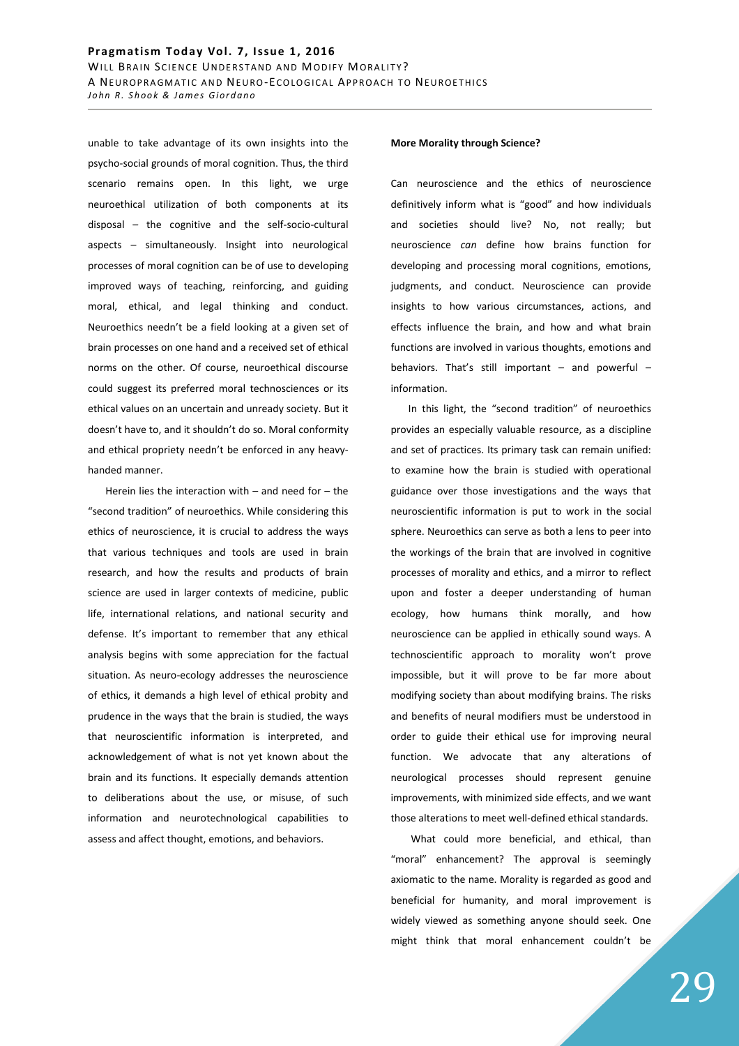unable to take advantage of its own insights into the psycho-social grounds of moral cognition. Thus, the third scenario remains open. In this light, we urge neuroethical utilization of both components at its disposal – the cognitive and the self-socio-cultural aspects – simultaneously. Insight into neurological processes of moral cognition can be of use to developing improved ways of teaching, reinforcing, and guiding moral, ethical, and legal thinking and conduct. Neuroethics needn't be a field looking at a given set of brain processes on one hand and a received set of ethical norms on the other. Of course, neuroethical discourse could suggest its preferred moral technosciences or its ethical values on an uncertain and unready society. But it doesn't have to, and it shouldn't do so. Moral conformity and ethical propriety needn't be enforced in any heavyhanded manner.

Herein lies the interaction with  $-$  and need for  $-$  the "second tradition" of neuroethics. While considering this ethics of neuroscience, it is crucial to address the ways that various techniques and tools are used in brain research, and how the results and products of brain science are used in larger contexts of medicine, public life, international relations, and national security and defense. It's important to remember that any ethical analysis begins with some appreciation for the factual situation. As neuro-ecology addresses the neuroscience of ethics, it demands a high level of ethical probity and prudence in the ways that the brain is studied, the ways that neuroscientific information is interpreted, and acknowledgement of what is not yet known about the brain and its functions. It especially demands attention to deliberations about the use, or misuse, of such information and neurotechnological capabilities to assess and affect thought, emotions, and behaviors.

#### **More Morality through Science?**

Can neuroscience and the ethics of neuroscience definitively inform what is "good" and how individuals and societies should live? No, not really; but neuroscience *can* define how brains function for developing and processing moral cognitions, emotions, judgments, and conduct. Neuroscience can provide insights to how various circumstances, actions, and effects influence the brain, and how and what brain functions are involved in various thoughts, emotions and behaviors. That's still important – and powerful – information.

In this light, the "second tradition" of neuroethics provides an especially valuable resource, as a discipline and set of practices. Its primary task can remain unified: to examine how the brain is studied with operational guidance over those investigations and the ways that neuroscientific information is put to work in the social sphere. Neuroethics can serve as both a lens to peer into the workings of the brain that are involved in cognitive processes of morality and ethics, and a mirror to reflect upon and foster a deeper understanding of human ecology, how humans think morally, and how neuroscience can be applied in ethically sound ways. A technoscientific approach to morality won't prove impossible, but it will prove to be far more about modifying society than about modifying brains. The risks and benefits of neural modifiers must be understood in order to guide their ethical use for improving neural function. We advocate that any alterations of neurological processes should represent genuine improvements, with minimized side effects, and we want those alterations to meet well-defined ethical standards.

 What could more beneficial, and ethical, than "moral" enhancement? The approval is seemingly axiomatic to the name. Morality is regarded as good and beneficial for humanity, and moral improvement is widely viewed as something anyone should seek. One might think that moral enhancement couldn't be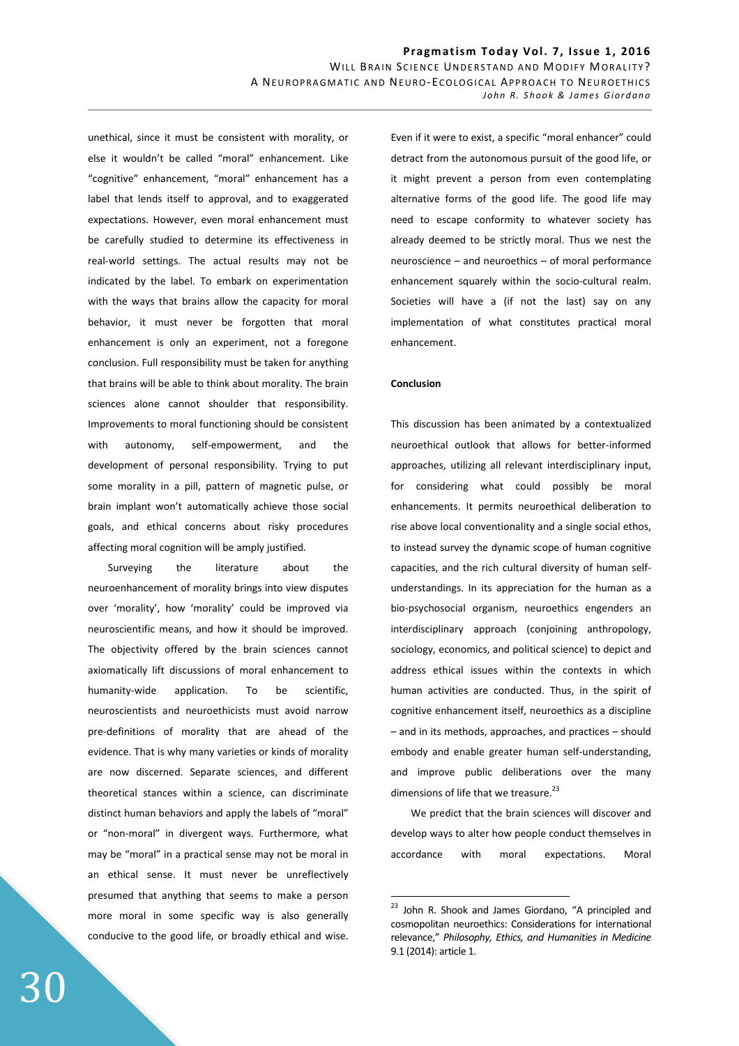unethical, since it must be consistent with morality, or else it wouldn't be called "moral" enhancement. Like "cognitive" enhancement, "moral" enhancement has a label that lends itself to approval, and to exaggerated expectations. However, even moral enhancement must be carefully studied to determine its effectiveness in real-world settings. The actual results may not be indicated by the label. To embark on experimentation with the ways that brains allow the capacity for moral behavior, it must never be forgotten that moral enhancement is only an experiment, not a foregone conclusion. Full responsibility must be taken for anything that brains will be able to think about morality. The brain sciences alone cannot shoulder that responsibility. Improvements to moral functioning should be consistent with autonomy, self-empowerment, and the development of personal responsibility. Trying to put some morality in a pill, pattern of magnetic pulse, or brain implant won't automatically achieve those social goals, and ethical concerns about risky procedures affecting moral cognition will be amply justified.

 Surveying the literature about the neuroenhancement of morality brings into view disputes over 'morality', how 'morality' could be improved via neuroscientific means, and how it should be improved. The objectivity offered by the brain sciences cannot axiomatically lift discussions of moral enhancement to humanity-wide application. To be scientific, neuroscientists and neuroethicists must avoid narrow pre-definitions of morality that are ahead of the evidence. That is why many varieties or kinds of morality are now discerned. Separate sciences, and different theoretical stances within a science, can discriminate distinct human behaviors and apply the labels of "moral" or "non-moral" in divergent ways. Furthermore, what may be "moral" in a practical sense may not be moral in an ethical sense. It must never be unreflectively presumed that anything that seems to make a person more moral in some specific way is also generally conducive to the good life, or broadly ethical and wise.

Even if it were to exist, a specific "moral enhancer" could detract from the autonomous pursuit of the good life, or it might prevent a person from even contemplating alternative forms of the good life. The good life may need to escape conformity to whatever society has already deemed to be strictly moral. Thus we nest the neuroscience – and neuroethics – of moral performance enhancement squarely within the socio-cultural realm. Societies will have a (if not the last) say on any implementation of what constitutes practical moral enhancement.

### **Conclusion**

 $\overline{a}$ 

This discussion has been animated by a contextualized neuroethical outlook that allows for better-informed approaches, utilizing all relevant interdisciplinary input, for considering what could possibly be moral enhancements. It permits neuroethical deliberation to rise above local conventionality and a single social ethos, to instead survey the dynamic scope of human cognitive capacities, and the rich cultural diversity of human selfunderstandings. In its appreciation for the human as a bio-psychosocial organism, neuroethics engenders an interdisciplinary approach (conjoining anthropology, sociology, economics, and political science) to depict and address ethical issues within the contexts in which human activities are conducted. Thus, in the spirit of cognitive enhancement itself, neuroethics as a discipline – and in its methods, approaches, and practices – should embody and enable greater human self-understanding, and improve public deliberations over the many dimensions of life that we treasure. $^{23}$ 

 We predict that the brain sciences will discover and develop ways to alter how people conduct themselves in accordance with moral expectations. Moral

<sup>&</sup>lt;sup>23</sup> John R. Shook and James Giordano, "A principled and cosmopolitan neuroethics: Considerations for international relevance," *Philosophy, Ethics, and Humanities in Medicine* 9.1 (2014): article 1.